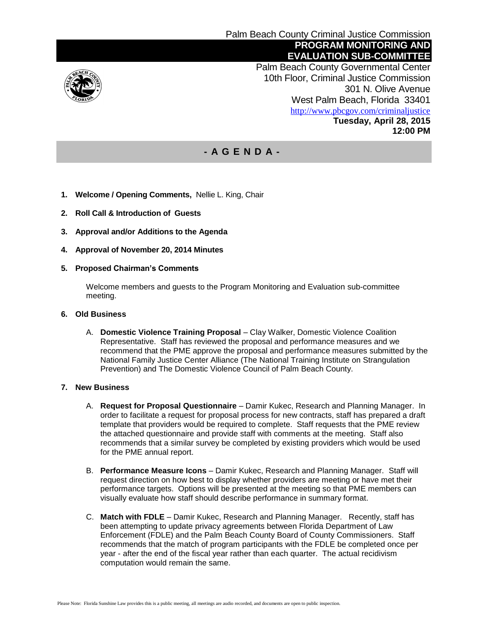

 Palm Beach County Governmental Center 10th Floor, Criminal Justice Commission 301 N. Olive Avenue West Palm Beach, Florida 33401 <http://www.pbcgov.com/criminaljustice> **Tuesday, April 28, 2015 12:00 PM**

## **- A G E N D A -**

- **1. Welcome / Opening Comments,** Nellie L. King, Chair
- **2. Roll Call & Introduction of Guests**
- **3. Approval and/or Additions to the Agenda**
- **4. Approval of November 20, 2014 Minutes**
- **5. Proposed Chairman's Comments**

Welcome members and guests to the Program Monitoring and Evaluation sub-committee meeting.

- **6. Old Business**
	- A. **Domestic Violence Training Proposal** Clay Walker, Domestic Violence Coalition Representative. Staff has reviewed the proposal and performance measures and we recommend that the PME approve the proposal and performance measures submitted by the National Family Justice Center Alliance (The National Training Institute on Strangulation Prevention) and The Domestic Violence Council of Palm Beach County.

## **7. New Business**

- A. **Request for Proposal Questionnaire** Damir Kukec, Research and Planning Manager. In order to facilitate a request for proposal process for new contracts, staff has prepared a draft template that providers would be required to complete. Staff requests that the PME review the attached questionnaire and provide staff with comments at the meeting. Staff also recommends that a similar survey be completed by existing providers which would be used for the PME annual report.
- B. **Performance Measure Icons**  Damir Kukec, Research and Planning Manager. Staff will request direction on how best to display whether providers are meeting or have met their performance targets. Options will be presented at the meeting so that PME members can visually evaluate how staff should describe performance in summary format.
- C. **Match with FDLE** Damir Kukec, Research and Planning Manager. Recently, staff has been attempting to update privacy agreements between Florida Department of Law Enforcement (FDLE) and the Palm Beach County Board of County Commissioners. Staff recommends that the match of program participants with the FDLE be completed once per year - after the end of the fiscal year rather than each quarter. The actual recidivism computation would remain the same.